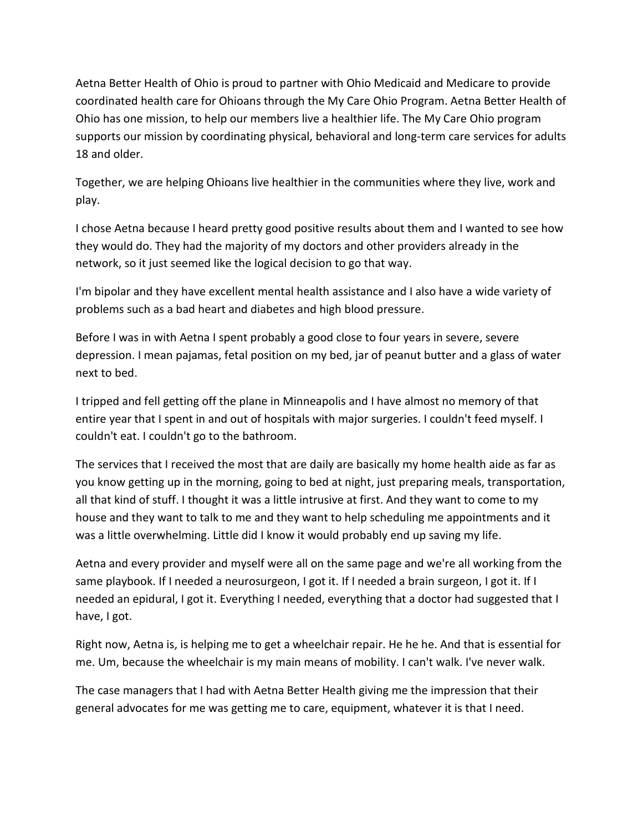Aetna Better Health of Ohio is proud to partner with Ohio Medicaid and Medicare to provide coordinated health care for Ohioans through the My Care Ohio Program. Aetna Better Health of Ohio has one mission, to help our members live a healthier life. The My Care Ohio program supports our mission by coordinating physical, behavioral and long-term care services for adults 18 and older.

Together, we are helping Ohioans live healthier in the communities where they live, work and play.

I chose Aetna because I heard pretty good positive results about them and I wanted to see how they would do. They had the majority of my doctors and other providers already in the network, so it just seemed like the logical decision to go that way.

I'm bipolar and they have excellent mental health assistance and I also have a wide variety of problems such as a bad heart and diabetes and high blood pressure.

Before I was in with Aetna I spent probably a good close to four years in severe, severe depression. I mean pajamas, fetal position on my bed, jar of peanut butter and a glass of water next to bed.

I tripped and fell getting off the plane in Minneapolis and I have almost no memory of that entire year that I spent in and out of hospitals with major surgeries. I couldn't feed myself. I couldn't eat. I couldn't go to the bathroom.

The services that I received the most that are daily are basically my home health aide as far as you know getting up in the morning, going to bed at night, just preparing meals, transportation, all that kind of stuff. I thought it was a little intrusive at first. And they want to come to my house and they want to talk to me and they want to help scheduling me appointments and it was a little overwhelming. Little did I know it would probably end up saving my life.

Aetna and every provider and myself were all on the same page and we're all working from the same playbook. If I needed a neurosurgeon, I got it. If I needed a brain surgeon, I got it. If I needed an epidural, I got it. Everything I needed, everything that a doctor had suggested that I have, I got.

Right now, Aetna is, is helping me to get a wheelchair repair. He he he. And that is essential for me. Um, because the wheelchair is my main means of mobility. I can't walk. I've never walk.

The case managers that I had with Aetna Better Health giving me the impression that their general advocates for me was getting me to care, equipment, whatever it is that I need.